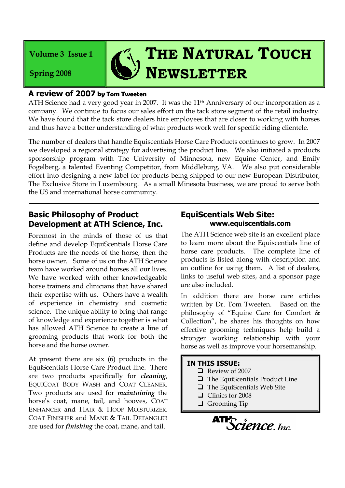**Volume 3 Issue 1**

**Spring 2008**

# $\mathcal{T}_1$ , THE **NATURAL TOUCH NEWSLETTER**

#### **A review of 2007 by Tom Tweeten**

ATH Science had a very good year in 2007. It was the 11<sup>th</sup> Anniversary of our incorporation as a company. We continue to focus our sales effort on the tack store segment of the retail industry. We have found that the tack store dealers hire employees that are closer to working with horses and thus have a better understanding of what products work well for specific riding clientele.

The number of dealers that handle Equiscentials Horse Care Products continues to grow. In 2007 we developed a regional strategy for advertising the product line. We also initiated a products sponsorship program with The University of Minnesota, new Equine Center, and Emily Fogelberg, a talented Eventing Competitor, from Middleburg, VA. We also put considerable effort into designing a new label for products being shipped to our new European Distributor, The Exclusive Store in Luxembourg. As a small Minesota business, we are proud to serve both the US and international horse community.

## **Basic Philosophy of Product Development at ATH Science, Inc.**

Foremost in the minds of those of us that define and develop EquiScentials Horse Care Products are the needs of the horse, then the horse owner. Some of us on the ATH Science team have worked around horses all our lives. We have worked with other knowledgeable horse trainers and clinicians that have shared their expertise with us. Others have a wealth of experience in chemistry and cosmetic science. The unique ability to bring that range of knowledge and experience together is what has allowed ATH Science to create a line of grooming products that work for both the horse and the horse owner.

At present there are six (6) products in the EquiScentials Horse Care Product line. There are two products specifically for *cleaning*, EQUICOAT BODY WASH and COAT CLEANER. Two products are used for *maintaining* the horse's coat, mane, tail, and hooves, COAT ENHANCER and HAIR & HOOF MOISTURIZER. COAT FINISHER and MANE & TAIL DETANGLER are used for *finishing* the coat, mane, and tail.

## **EquiScentials Web Site: www.equiscentials.com**

The ATH Science web site is an excellent place to learn more about the Equiscentials line of horse care products. The complete line of products is listed along with description and an outline for using them. A list of dealers, links to useful web sites, and a sponsor page are also included.

In addition there are horse care articles written by Dr. Tom Tweeten. Based on the philosophy of "Equine Care for Comfort & Collection", he shares his thoughts on how effective grooming techniques help build a stronger working relationship with your horse as well as improve your horsemanship.

#### **IN THIS ISSUE:**

- Review of 2007
- $\Box$  The EquiScentials Product Line
- $\Box$  The EquiScentials Web Site
- Clinics for 2008
- **Q** Grooming Tip